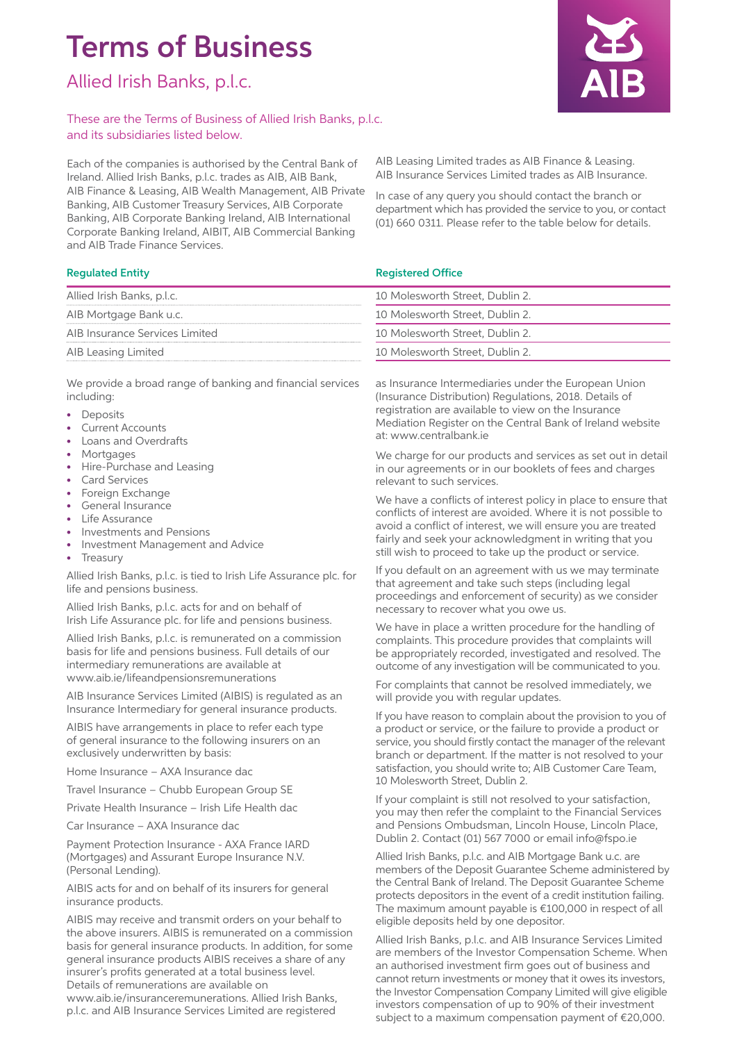# Terms of Business

Allied Irish Banks, p.l.c.

# These are the Terms of Business of Allied Irish Banks, p.l.c. and its subsidiaries listed below.

Each of the companies is authorised by the Central Bank of Ireland. Allied Irish Banks, p.l.c. trades as AIB, AIB Bank, AIB Finance & Leasing, AIB Wealth Management, AIB Private Banking, AIB Customer Treasury Services, AIB Corporate Banking, AIB Corporate Banking Ireland, AIB International Corporate Banking Ireland, AIBIT, AIB Commercial Banking and AIB Trade Finance Services.

## AIB Leasing Limited trades as AIB Finance & Leasing. AIB Insurance Services Limited trades as AIB Insurance.

In case of any query you should contact the branch or department which has provided the service to you, or contact (01) 660 0311. Please refer to the table below for details.

# Regulated Entity **Registered Office**

| 10 Molesworth Street, Dublin 2. |
|---------------------------------|
| 10 Molesworth Street, Dublin 2. |
| 10 Molesworth Street, Dublin 2. |
| 10 Molesworth Street, Dublin 2. |

We provide a broad range of banking and financial services including:

- Deposits
- Current Accounts

Allied Irish Banks, p.l.c. AIB Mortgage Bank u.c.

AIB Leasing Limited

AIB Insurance Services Limited

- Loans and Overdrafts
- Mortgages
- Hire-Purchase and Leasing
- Card Services
- Foreign Exchange
- General Insurance
- Life Assurance
- Investments and Pensions
- Investment Management and Advice
- **Treasury**

Allied Irish Banks, p.l.c. is tied to Irish Life Assurance plc. for life and pensions business.

Allied Irish Banks, p.l.c. acts for and on behalf of Irish Life Assurance plc. for life and pensions business.

Allied Irish Banks, p.l.c. is remunerated on a commission basis for life and pensions business. Full details of our intermediary remunerations are available at www.aib.ie/lifeandpensionsremunerations

AIB Insurance Services Limited (AIBIS) is regulated as an Insurance Intermediary for general insurance products.

AIBIS have arrangements in place to refer each type of general insurance to the following insurers on an exclusively underwritten by basis:

Home Insurance – AXA Insurance dac

Travel Insurance – Chubb European Group SE

Private Health Insurance – Irish Life Health dac

Car Insurance – AXA Insurance dac

Payment Protection Insurance - AXA France IARD (Mortgages) and Assurant Europe Insurance N.V. (Personal Lending).

AIBIS acts for and on behalf of its insurers for general insurance products.

AIBIS may receive and transmit orders on your behalf to the above insurers. AIBIS is remunerated on a commission basis for general insurance products. In addition, for some general insurance products AIBIS receives a share of any insurer's profits generated at a total business level. Details of remunerations are available on www.aib.ie/insuranceremunerations. Allied Irish Banks, p.l.c. and AIB Insurance Services Limited are registered

as Insurance Intermediaries under the European Union (Insurance Distribution) Regulations, 2018. Details of registration are available to view on the Insurance Mediation Register on the Central Bank of Ireland website at: www.centralbank.ie

We charge for our products and services as set out in detail in our agreements or in our booklets of fees and charges relevant to such services.

We have a conflicts of interest policy in place to ensure that conflicts of interest are avoided. Where it is not possible to avoid a conflict of interest, we will ensure you are treated fairly and seek your acknowledgment in writing that you still wish to proceed to take up the product or service.

If you default on an agreement with us we may terminate that agreement and take such steps (including legal proceedings and enforcement of security) as we consider necessary to recover what you owe us.

We have in place a written procedure for the handling of complaints. This procedure provides that complaints will be appropriately recorded, investigated and resolved. The outcome of any investigation will be communicated to you.

For complaints that cannot be resolved immediately, we will provide you with regular updates.

If you have reason to complain about the provision to you of a product or service, or the failure to provide a product or service, you should firstly contact the manager of the relevant branch or department. If the matter is not resolved to your satisfaction, you should write to; AIB Customer Care Team, 10 Molesworth Street, Dublin 2.

If your complaint is still not resolved to your satisfaction, you may then refer the complaint to the Financial Services and Pensions Ombudsman, Lincoln House, Lincoln Place, Dublin 2. Contact (01) 567 7000 or email info@fspo.ie

Allied Irish Banks, p.l.c. and AIB Mortgage Bank u.c. are members of the Deposit Guarantee Scheme administered by the Central Bank of Ireland. The Deposit Guarantee Scheme protects depositors in the event of a credit institution failing. The maximum amount payable is €100,000 in respect of all eligible deposits held by one depositor.

Allied Irish Banks, p.l.c. and AIB Insurance Services Limited are members of the Investor Compensation Scheme. When an authorised investment firm goes out of business and cannot return investments or money that it owes its investors, the Investor Compensation Company Limited will give eligible investors compensation of up to 90% of their investment subject to a maximum compensation payment of €20,000.

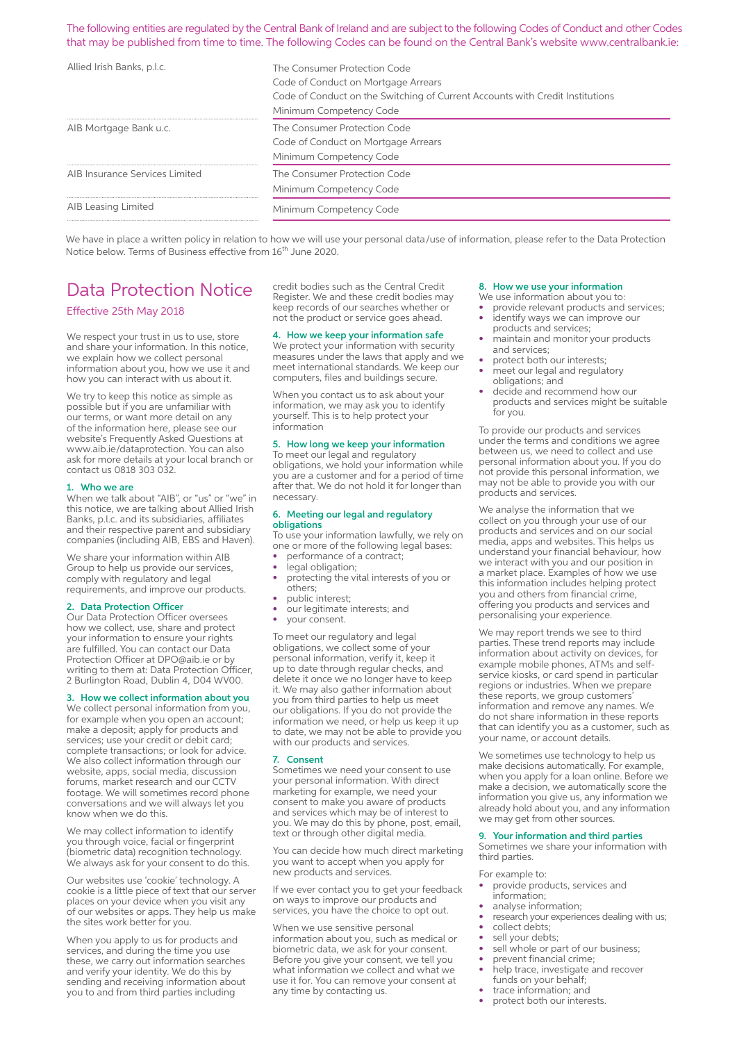The following entities are regulated by the Central Bank of Ireland and are subject to the following Codes of Conduct and other Codes that may be published from time to time. The following Codes can be found on the Central Bank's website www.centralbank.ie:

| Allied Irish Banks, p.l.c.     | The Consumer Protection Code<br>Code of Conduct on Mortgage Arrears<br>Code of Conduct on the Switching of Current Accounts with Credit Institutions<br>Minimum Competency Code |
|--------------------------------|---------------------------------------------------------------------------------------------------------------------------------------------------------------------------------|
| AIB Mortgage Bank u.c.         | The Consumer Protection Code<br>Code of Conduct on Mortgage Arrears<br>Minimum Competency Code                                                                                  |
| AIB Insurance Services Limited | The Consumer Protection Code<br>Minimum Competency Code                                                                                                                         |
| AIB Leasing Limited            | Minimum Competency Code                                                                                                                                                         |

We have in place a written policy in relation to how we will use your personal data/use of information, please refer to the Data Protection Notice below. Terms of Business effective from 16<sup>th</sup> June 2020.

# Data Protection Notice

Effective 25th May 2018

We respect your trust in us to use, store and share your information. In this notice, we explain how we collect personal information about you, how we use it and how you can interact with us about it.

We try to keep this notice as simple as possible but if you are unfamiliar with our terms, or want more detail on any of the information here, please see our website's Frequently Asked Questions at www.aib.ie/dataprotection. You can also ask for more details at your local branch or contact us 0818 303 032.

#### 1. Who we are

When we talk about "AIB", or "us" or "we" in this notice, we are talking about Allied Irish Banks, p.l.c. and its subsidiaries, affiliates and their respective parent and subsidiary companies (including AIB, EBS and Haven).

We share your information within AIB Group to help us provide our services, comply with regulatory and legal requirements, and improve our products.

#### 2. Data Protection Officer

Our Data Protection Officer oversees how we collect, use, share and protect your information to ensure your rights are fulfilled. You can contact our Data Protection Officer at DPO@aib.ie or by writing to them at: Data Protection Officer, 2 Burlington Road, Dublin 4, D04 WV00.

#### 3. How we collect information about you

We collect personal information from you, for example when you open an account; make a deposit; apply for products and services; use your credit or debit card; complete transactions; or look for advice. We also collect information through our website, apps, social media, discussion forums, market research and our CCTV footage. We will sometimes record phone conversations and we will always let you know when we do this.

We may collect information to identify you through voice, facial or fingerprint (biometric data) recognition technology. We always ask for your consent to do this.

Our websites use 'cookie' technology. A cookie is a little piece of text that our server places on your device when you visit any of our websites or apps. They help us make the sites work better for you.

When you apply to us for products and services, and during the time you use these, we carry out information searches and verify your identity. We do this by sending and receiving information about you to and from third parties including

credit bodies such as the Central Credit Register. We and these credit bodies may keep records of our searches whether or not the product or service goes ahead.

### 4. How we keep your information safe

We protect your information with security measures under the laws that apply and we meet international standards. We keep our computers, files and buildings secure.

When you contact us to ask about your information, we may ask you to identify yourself. This is to help protect your information

#### 5. How long we keep your information

To meet our legal and regulatory obligations, we hold your information while you are a customer and for a period of time after that. We do not hold it for longer than necessary.

#### 6. Meeting our legal and regulatory obligations

To use your information lawfully, we rely on one or more of the following legal bases: • performance of a contract;

- legal obligation;
- protecting the vital interests of you or others;
- public interest;
- our legitimate interests; and
- your consent.

To meet our regulatory and legal obligations, we collect some of your personal information, verify it, keep it up to date through regular checks, and delete it once we no longer have to keep it. We may also gather information about you from third parties to help us meet our obligations. If you do not provide the information we need, or help us keep it up to date, we may not be able to provide you with our products and services.

#### 7. Consent

Sometimes we need your consent to use your personal information. With direct marketing for example, we need your consent to make you aware of products and services which may be of interest to you. We may do this by phone, post, email, text or through other digital media.

You can decide how much direct marketing you want to accept when you apply for new products and services.

If we ever contact you to get your feedback on ways to improve our products and services, you have the choice to opt out.

When we use sensitive personal information about you, such as medical or biometric data, we ask for your consent. Before you give your consent, we tell you what information we collect and what we use it for. You can remove your consent at any time by contacting us.

#### 8. How we use your information

- We use information about you to: provide relevant products and services;
- identify ways we can improve our products and services;
- maintain and monitor your products and services;
- protect both our interests;
- meet our legal and regulatory obligations; and
- decide and recommend how our products and services might be suitable for you.

To provide our products and services under the terms and conditions we agree between us, we need to collect and use personal information about you. If you do not provide this personal information, we may not be able to provide you with our products and services.

We analyse the information that we collect on you through your use of our products and services and on our social media, apps and websites. This helps us understand your financial behaviour, how we interact with you and our position in a market place. Examples of how we use this information includes helping protect you and others from financial crime, offering you products and services and personalising your experience.

We may report trends we see to third parties. These trend reports may include information about activity on devices, for example mobile phones, ATMs and selfservice kiosks, or card spend in particular regions or industries. When we prepare these reports, we group customers' information and remove any names. We do not share information in these reports that can identify you as a customer, such as your name, or account details.

We sometimes use technology to help us make decisions automatically. For example, when you apply for a loan online. Before we make a decision, we automatically score the information you give us, any information we already hold about you, and any information we may get from other sources.

#### 9. Your information and third parties

Sometimes we share your information with third parties.

For example to:

- provide products, services and information;
- analyse information;
- research your experiences dealing with us;
- collect debts;
- sell your debts;
- sell whole or part of our business;
- prevent financial crime;
- help trace, investigate and recover funds on your behalf;
- trace information; and
- protect both our interests.